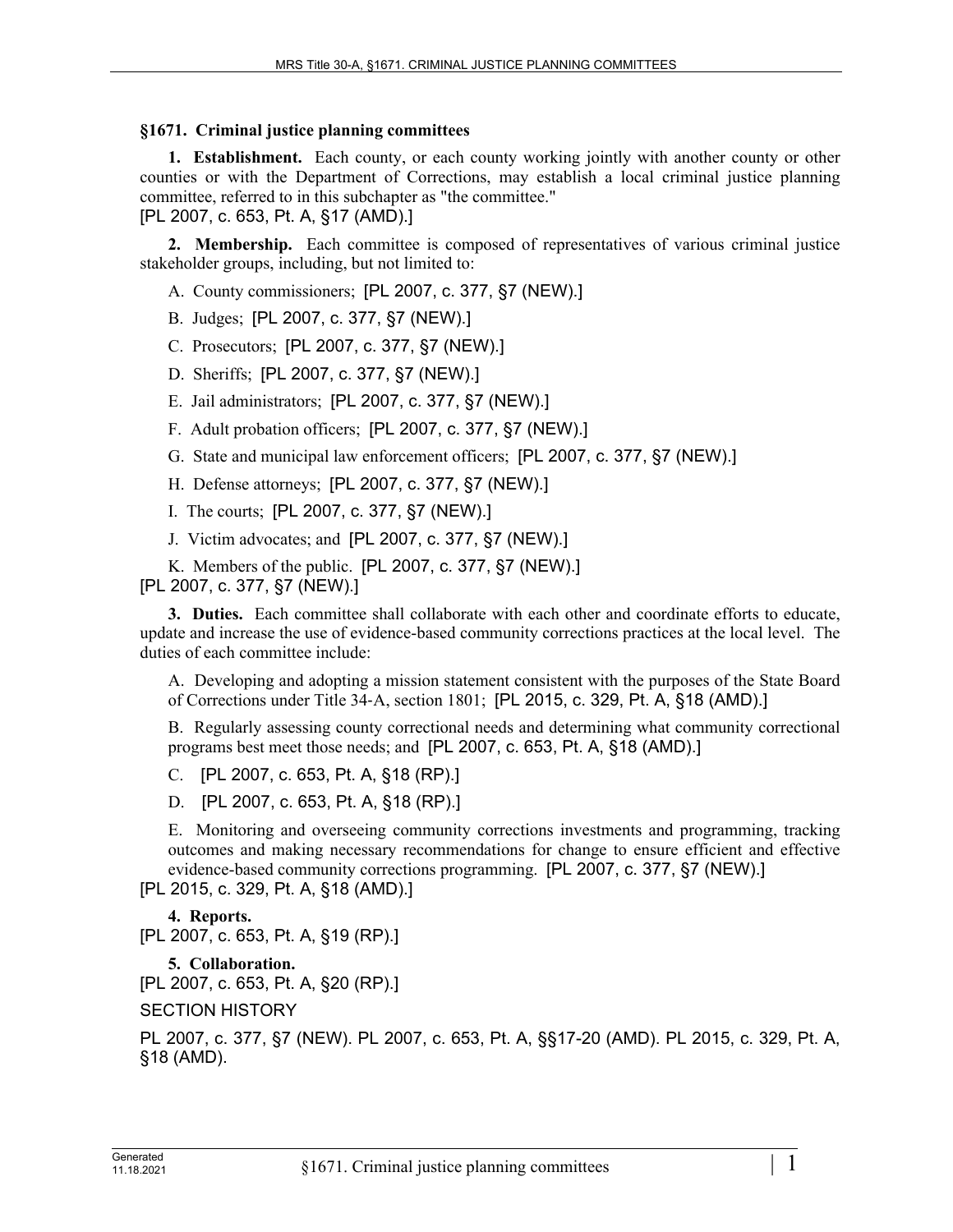## **§1671. Criminal justice planning committees**

**1. Establishment.** Each county, or each county working jointly with another county or other counties or with the Department of Corrections, may establish a local criminal justice planning committee, referred to in this subchapter as "the committee."

[PL 2007, c. 653, Pt. A, §17 (AMD).]

**2. Membership.** Each committee is composed of representatives of various criminal justice stakeholder groups, including, but not limited to:

- A. County commissioners; [PL 2007, c. 377, §7 (NEW).]
- B. Judges; [PL 2007, c. 377, §7 (NEW).]
- C. Prosecutors; [PL 2007, c. 377, §7 (NEW).]
- D. Sheriffs; [PL 2007, c. 377, §7 (NEW).]
- E. Jail administrators; [PL 2007, c. 377, §7 (NEW).]
- F. Adult probation officers; [PL 2007, c. 377, §7 (NEW).]
- G. State and municipal law enforcement officers; [PL 2007, c. 377, §7 (NEW).]
- H. Defense attorneys; [PL 2007, c. 377, §7 (NEW).]
- I. The courts; [PL 2007, c. 377, §7 (NEW).]
- J. Victim advocates; and [PL 2007, c. 377, §7 (NEW).]
- K. Members of the public. [PL 2007, c. 377, §7 (NEW).]

[PL 2007, c. 377, §7 (NEW).]

**3. Duties.** Each committee shall collaborate with each other and coordinate efforts to educate, update and increase the use of evidence-based community corrections practices at the local level. The duties of each committee include:

A. Developing and adopting a mission statement consistent with the purposes of the State Board of Corrections under Title 34‑A, section 1801; [PL 2015, c. 329, Pt. A, §18 (AMD).]

B. Regularly assessing county correctional needs and determining what community correctional programs best meet those needs; and [PL 2007, c. 653, Pt. A, §18 (AMD).]

C. [PL 2007, c. 653, Pt. A, §18 (RP).]

D. [PL 2007, c. 653, Pt. A, §18 (RP).]

E. Monitoring and overseeing community corrections investments and programming, tracking outcomes and making necessary recommendations for change to ensure efficient and effective evidence-based community corrections programming. [PL 2007, c. 377, §7 (NEW).]

[PL 2015, c. 329, Pt. A, §18 (AMD).]

## **4. Reports.**

[PL 2007, c. 653, Pt. A, §19 (RP).]

- **5. Collaboration.**
- [PL 2007, c. 653, Pt. A, §20 (RP).]

SECTION HISTORY

PL 2007, c. 377, §7 (NEW). PL 2007, c. 653, Pt. A, §§17-20 (AMD). PL 2015, c. 329, Pt. A, §18 (AMD).